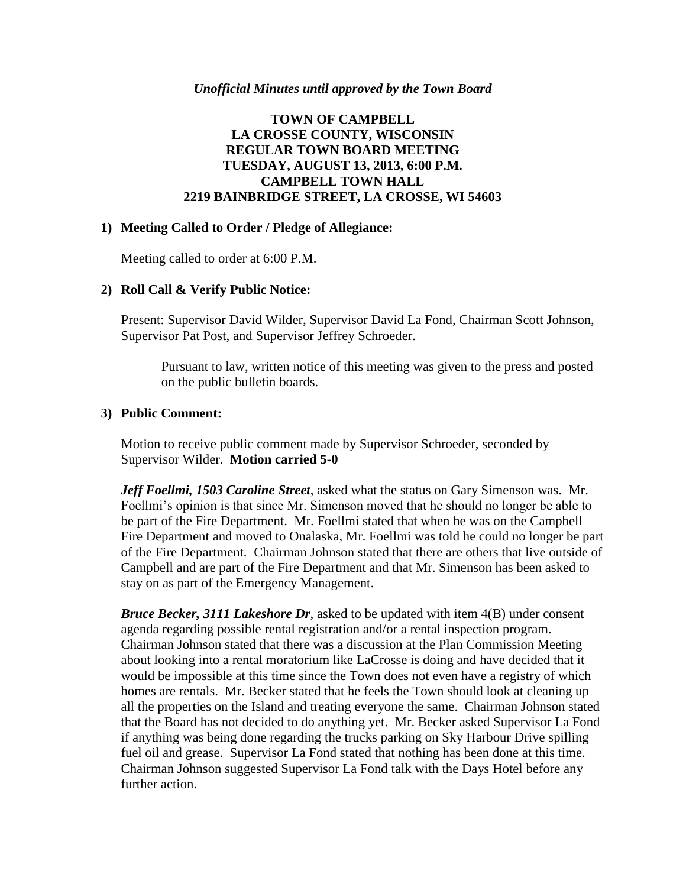#### *Unofficial Minutes until approved by the Town Board*

# **TOWN OF CAMPBELL LA CROSSE COUNTY, WISCONSIN REGULAR TOWN BOARD MEETING TUESDAY, AUGUST 13, 2013, 6:00 P.M. CAMPBELL TOWN HALL 2219 BAINBRIDGE STREET, LA CROSSE, WI 54603**

## **1) Meeting Called to Order / Pledge of Allegiance:**

Meeting called to order at 6:00 P.M.

## **2) Roll Call & Verify Public Notice:**

Present: Supervisor David Wilder, Supervisor David La Fond, Chairman Scott Johnson, Supervisor Pat Post, and Supervisor Jeffrey Schroeder.

Pursuant to law, written notice of this meeting was given to the press and posted on the public bulletin boards.

#### **3) Public Comment:**

Motion to receive public comment made by Supervisor Schroeder, seconded by Supervisor Wilder. **Motion carried 5-0**

*Jeff Foellmi, 1503 Caroline Street*, asked what the status on Gary Simenson was. Mr. Foellmi's opinion is that since Mr. Simenson moved that he should no longer be able to be part of the Fire Department. Mr. Foellmi stated that when he was on the Campbell Fire Department and moved to Onalaska, Mr. Foellmi was told he could no longer be part of the Fire Department. Chairman Johnson stated that there are others that live outside of Campbell and are part of the Fire Department and that Mr. Simenson has been asked to stay on as part of the Emergency Management.

*Bruce Becker, 3111 Lakeshore Dr*, asked to be updated with item 4(B) under consent agenda regarding possible rental registration and/or a rental inspection program. Chairman Johnson stated that there was a discussion at the Plan Commission Meeting about looking into a rental moratorium like LaCrosse is doing and have decided that it would be impossible at this time since the Town does not even have a registry of which homes are rentals. Mr. Becker stated that he feels the Town should look at cleaning up all the properties on the Island and treating everyone the same. Chairman Johnson stated that the Board has not decided to do anything yet. Mr. Becker asked Supervisor La Fond if anything was being done regarding the trucks parking on Sky Harbour Drive spilling fuel oil and grease. Supervisor La Fond stated that nothing has been done at this time. Chairman Johnson suggested Supervisor La Fond talk with the Days Hotel before any further action.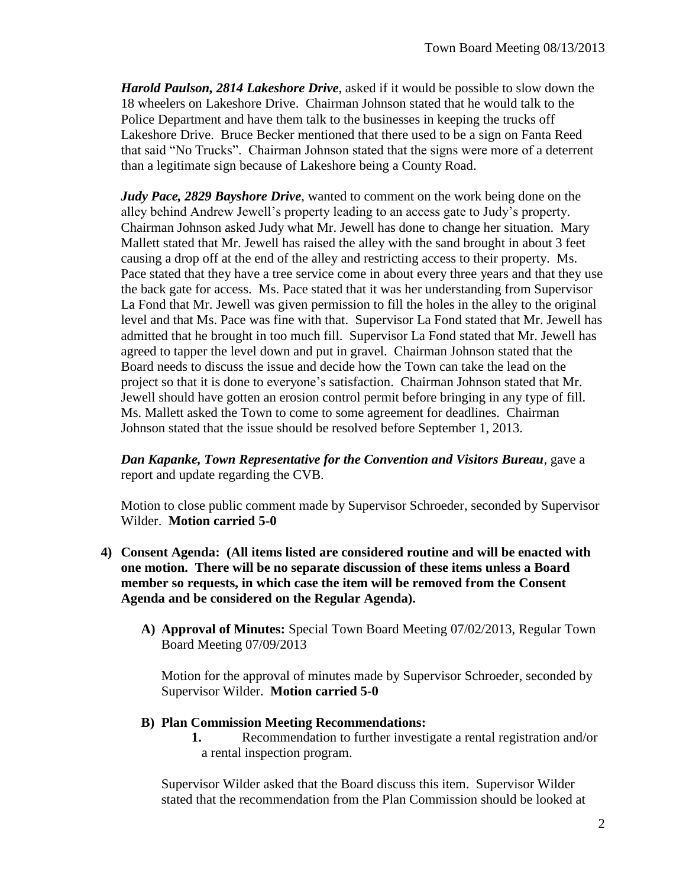*Harold Paulson, 2814 Lakeshore Drive*, asked if it would be possible to slow down the 18 wheelers on Lakeshore Drive. Chairman Johnson stated that he would talk to the Police Department and have them talk to the businesses in keeping the trucks off Lakeshore Drive. Bruce Becker mentioned that there used to be a sign on Fanta Reed that said "No Trucks". Chairman Johnson stated that the signs were more of a deterrent than a legitimate sign because of Lakeshore being a County Road.

*Judy Pace, 2829 Bayshore Drive*, wanted to comment on the work being done on the alley behind Andrew Jewell's property leading to an access gate to Judy's property. Chairman Johnson asked Judy what Mr. Jewell has done to change her situation. Mary Mallett stated that Mr. Jewell has raised the alley with the sand brought in about 3 feet causing a drop off at the end of the alley and restricting access to their property. Ms. Pace stated that they have a tree service come in about every three years and that they use the back gate for access. Ms. Pace stated that it was her understanding from Supervisor La Fond that Mr. Jewell was given permission to fill the holes in the alley to the original level and that Ms. Pace was fine with that. Supervisor La Fond stated that Mr. Jewell has admitted that he brought in too much fill. Supervisor La Fond stated that Mr. Jewell has agreed to tapper the level down and put in gravel. Chairman Johnson stated that the Board needs to discuss the issue and decide how the Town can take the lead on the project so that it is done to everyone's satisfaction. Chairman Johnson stated that Mr. Jewell should have gotten an erosion control permit before bringing in any type of fill. Ms. Mallett asked the Town to come to some agreement for deadlines. Chairman Johnson stated that the issue should be resolved before September 1, 2013.

*Dan Kapanke, Town Representative for the Convention and Visitors Bureau*, gave a report and update regarding the CVB.

Motion to close public comment made by Supervisor Schroeder, seconded by Supervisor Wilder. **Motion carried 5-0**

- **4) Consent Agenda: (All items listed are considered routine and will be enacted with one motion. There will be no separate discussion of these items unless a Board member so requests, in which case the item will be removed from the Consent Agenda and be considered on the Regular Agenda).**
	- **A) Approval of Minutes:** Special Town Board Meeting 07/02/2013, Regular Town Board Meeting 07/09/2013

Motion for the approval of minutes made by Supervisor Schroeder, seconded by Supervisor Wilder. **Motion carried 5-0**

## **B) Plan Commission Meeting Recommendations:**

**1.** Recommendation to further investigate a rental registration and/or a rental inspection program.

Supervisor Wilder asked that the Board discuss this item. Supervisor Wilder stated that the recommendation from the Plan Commission should be looked at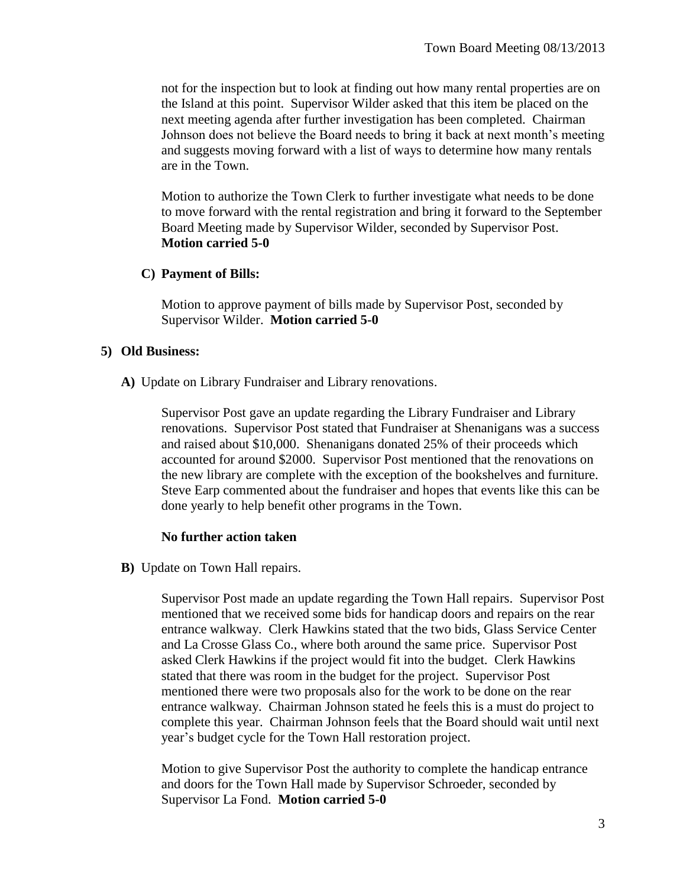not for the inspection but to look at finding out how many rental properties are on the Island at this point. Supervisor Wilder asked that this item be placed on the next meeting agenda after further investigation has been completed. Chairman Johnson does not believe the Board needs to bring it back at next month's meeting and suggests moving forward with a list of ways to determine how many rentals are in the Town.

Motion to authorize the Town Clerk to further investigate what needs to be done to move forward with the rental registration and bring it forward to the September Board Meeting made by Supervisor Wilder, seconded by Supervisor Post. **Motion carried 5-0**

#### **C) Payment of Bills:**

Motion to approve payment of bills made by Supervisor Post, seconded by Supervisor Wilder. **Motion carried 5-0**

#### **5) Old Business:**

**A)** Update on Library Fundraiser and Library renovations.

Supervisor Post gave an update regarding the Library Fundraiser and Library renovations. Supervisor Post stated that Fundraiser at Shenanigans was a success and raised about \$10,000. Shenanigans donated 25% of their proceeds which accounted for around \$2000. Supervisor Post mentioned that the renovations on the new library are complete with the exception of the bookshelves and furniture. Steve Earp commented about the fundraiser and hopes that events like this can be done yearly to help benefit other programs in the Town.

## **No further action taken**

**B)** Update on Town Hall repairs.

Supervisor Post made an update regarding the Town Hall repairs. Supervisor Post mentioned that we received some bids for handicap doors and repairs on the rear entrance walkway. Clerk Hawkins stated that the two bids, Glass Service Center and La Crosse Glass Co., where both around the same price. Supervisor Post asked Clerk Hawkins if the project would fit into the budget. Clerk Hawkins stated that there was room in the budget for the project. Supervisor Post mentioned there were two proposals also for the work to be done on the rear entrance walkway. Chairman Johnson stated he feels this is a must do project to complete this year. Chairman Johnson feels that the Board should wait until next year's budget cycle for the Town Hall restoration project.

Motion to give Supervisor Post the authority to complete the handicap entrance and doors for the Town Hall made by Supervisor Schroeder, seconded by Supervisor La Fond. **Motion carried 5-0**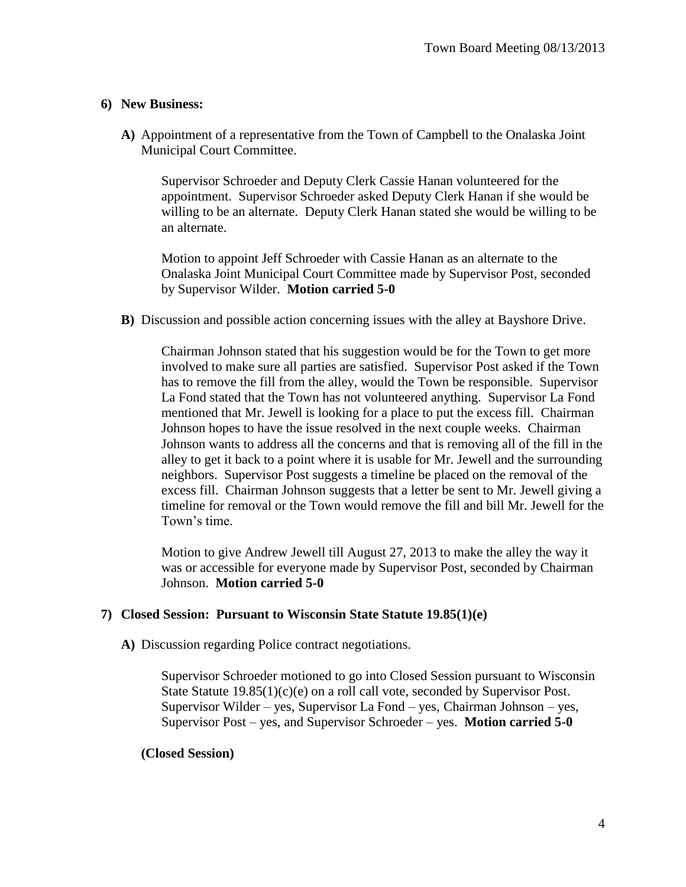## **6) New Business:**

**A)** Appointment of a representative from the Town of Campbell to the Onalaska Joint Municipal Court Committee.

Supervisor Schroeder and Deputy Clerk Cassie Hanan volunteered for the appointment. Supervisor Schroeder asked Deputy Clerk Hanan if she would be willing to be an alternate. Deputy Clerk Hanan stated she would be willing to be an alternate.

Motion to appoint Jeff Schroeder with Cassie Hanan as an alternate to the Onalaska Joint Municipal Court Committee made by Supervisor Post, seconded by Supervisor Wilder. **Motion carried 5-0**

**B)** Discussion and possible action concerning issues with the alley at Bayshore Drive.

Chairman Johnson stated that his suggestion would be for the Town to get more involved to make sure all parties are satisfied. Supervisor Post asked if the Town has to remove the fill from the alley, would the Town be responsible. Supervisor La Fond stated that the Town has not volunteered anything. Supervisor La Fond mentioned that Mr. Jewell is looking for a place to put the excess fill. Chairman Johnson hopes to have the issue resolved in the next couple weeks. Chairman Johnson wants to address all the concerns and that is removing all of the fill in the alley to get it back to a point where it is usable for Mr. Jewell and the surrounding neighbors. Supervisor Post suggests a timeline be placed on the removal of the excess fill. Chairman Johnson suggests that a letter be sent to Mr. Jewell giving a timeline for removal or the Town would remove the fill and bill Mr. Jewell for the Town's time.

Motion to give Andrew Jewell till August 27, 2013 to make the alley the way it was or accessible for everyone made by Supervisor Post, seconded by Chairman Johnson. **Motion carried 5-0**

# **7) Closed Session: Pursuant to Wisconsin State Statute 19.85(1)(e)**

**A)** Discussion regarding Police contract negotiations.

Supervisor Schroeder motioned to go into Closed Session pursuant to Wisconsin State Statute 19.85(1)(c)(e) on a roll call vote, seconded by Supervisor Post. Supervisor Wilder – yes, Supervisor La Fond – yes, Chairman Johnson – yes, Supervisor Post – yes, and Supervisor Schroeder – yes. **Motion carried 5-0**

**(Closed Session)**